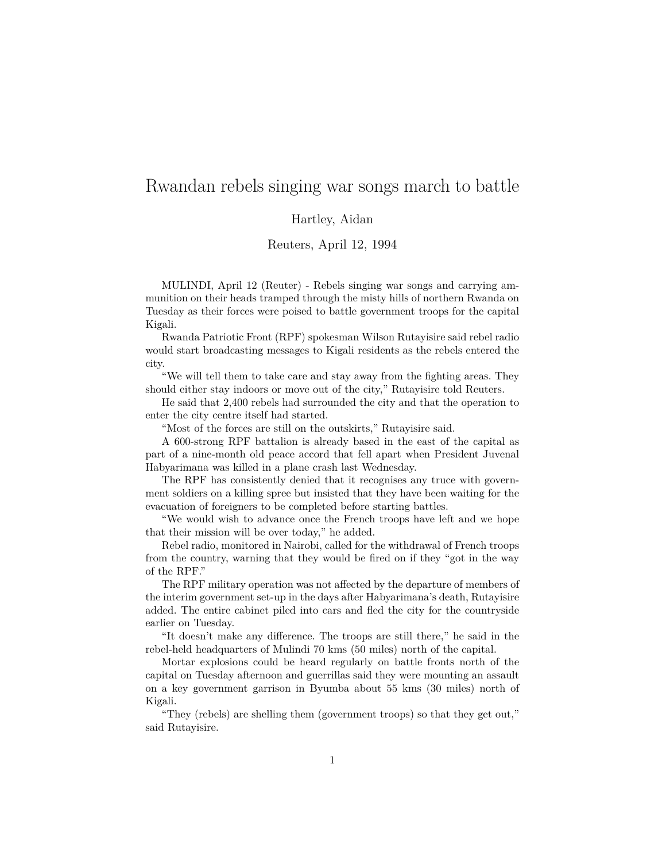## Rwandan rebels singing war songs march to battle

## Hartley, Aidan

## Reuters, April 12, 1994

MULINDI, April 12 (Reuter) - Rebels singing war songs and carrying ammunition on their heads tramped through the misty hills of northern Rwanda on Tuesday as their forces were poised to battle government troops for the capital Kigali.

Rwanda Patriotic Front (RPF) spokesman Wilson Rutayisire said rebel radio would start broadcasting messages to Kigali residents as the rebels entered the city.

"We will tell them to take care and stay away from the fighting areas. They should either stay indoors or move out of the city," Rutayisire told Reuters.

He said that 2,400 rebels had surrounded the city and that the operation to enter the city centre itself had started.

"Most of the forces are still on the outskirts," Rutayisire said.

A 600-strong RPF battalion is already based in the east of the capital as part of a nine-month old peace accord that fell apart when President Juvenal Habyarimana was killed in a plane crash last Wednesday.

The RPF has consistently denied that it recognises any truce with government soldiers on a killing spree but insisted that they have been waiting for the evacuation of foreigners to be completed before starting battles.

"We would wish to advance once the French troops have left and we hope that their mission will be over today," he added.

Rebel radio, monitored in Nairobi, called for the withdrawal of French troops from the country, warning that they would be fired on if they "got in the way of the RPF."

The RPF military operation was not affected by the departure of members of the interim government set-up in the days after Habyarimana's death, Rutayisire added. The entire cabinet piled into cars and fled the city for the countryside earlier on Tuesday.

"It doesn't make any difference. The troops are still there," he said in the rebel-held headquarters of Mulindi 70 kms (50 miles) north of the capital.

Mortar explosions could be heard regularly on battle fronts north of the capital on Tuesday afternoon and guerrillas said they were mounting an assault on a key government garrison in Byumba about 55 kms (30 miles) north of Kigali.

"They (rebels) are shelling them (government troops) so that they get out," said Rutayisire.